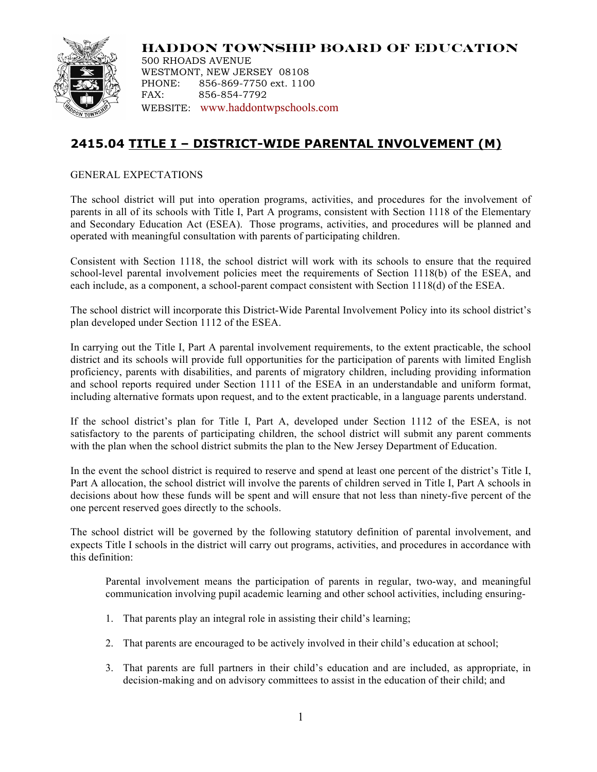

**HADDON TOWNSHIP BOARD OF EDUCATION** 500 RHOADS AVENUE WESTMONT, NEW JERSEY 08108 PHONE: 856-869-7750 ext. 1100 FAX: 856-854-7792 WEBSITE: www.haddontwpschools.com

## **2415.04 TITLE I – DISTRICT-WIDE PARENTAL INVOLVEMENT (M)**

GENERAL EXPECTATIONS

The school district will put into operation programs, activities, and procedures for the involvement of parents in all of its schools with Title I, Part A programs, consistent with Section 1118 of the Elementary and Secondary Education Act (ESEA). Those programs, activities, and procedures will be planned and operated with meaningful consultation with parents of participating children.

Consistent with Section 1118, the school district will work with its schools to ensure that the required school-level parental involvement policies meet the requirements of Section 1118(b) of the ESEA, and each include, as a component, a school-parent compact consistent with Section 1118(d) of the ESEA.

The school district will incorporate this District-Wide Parental Involvement Policy into its school district's plan developed under Section 1112 of the ESEA.

In carrying out the Title I, Part A parental involvement requirements, to the extent practicable, the school district and its schools will provide full opportunities for the participation of parents with limited English proficiency, parents with disabilities, and parents of migratory children, including providing information and school reports required under Section 1111 of the ESEA in an understandable and uniform format, including alternative formats upon request, and to the extent practicable, in a language parents understand.

If the school district's plan for Title I, Part A, developed under Section 1112 of the ESEA, is not satisfactory to the parents of participating children, the school district will submit any parent comments with the plan when the school district submits the plan to the New Jersey Department of Education.

In the event the school district is required to reserve and spend at least one percent of the district's Title I, Part A allocation, the school district will involve the parents of children served in Title I, Part A schools in decisions about how these funds will be spent and will ensure that not less than ninety-five percent of the one percent reserved goes directly to the schools.

The school district will be governed by the following statutory definition of parental involvement, and expects Title I schools in the district will carry out programs, activities, and procedures in accordance with this definition:

Parental involvement means the participation of parents in regular, two-way, and meaningful communication involving pupil academic learning and other school activities, including ensuring-

- 1. That parents play an integral role in assisting their child's learning;
- 2. That parents are encouraged to be actively involved in their child's education at school;
- 3. That parents are full partners in their child's education and are included, as appropriate, in decision-making and on advisory committees to assist in the education of their child; and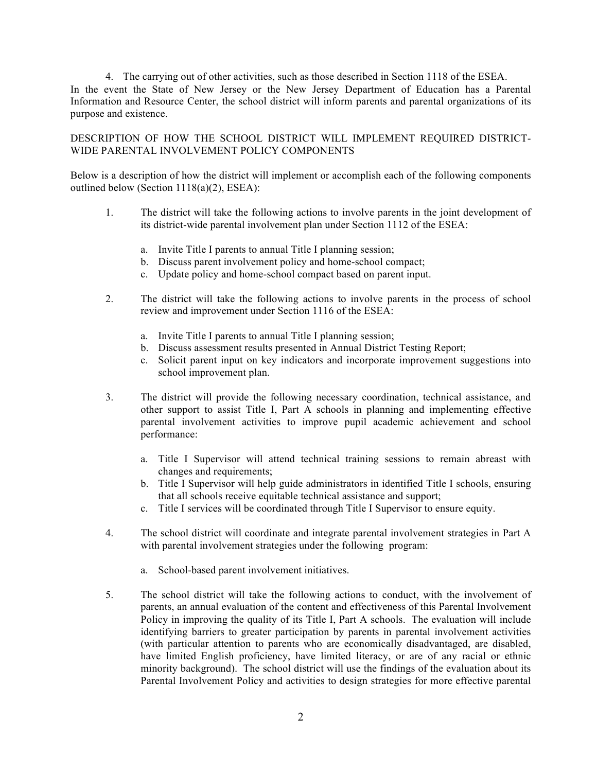4. The carrying out of other activities, such as those described in Section 1118 of the ESEA. In the event the State of New Jersey or the New Jersey Department of Education has a Parental Information and Resource Center, the school district will inform parents and parental organizations of its purpose and existence.

DESCRIPTION OF HOW THE SCHOOL DISTRICT WILL IMPLEMENT REQUIRED DISTRICT-WIDE PARENTAL INVOLVEMENT POLICY COMPONENTS

Below is a description of how the district will implement or accomplish each of the following components outlined below (Section 1118(a)(2), ESEA):

- 1. The district will take the following actions to involve parents in the joint development of its district-wide parental involvement plan under Section 1112 of the ESEA:
	- a. Invite Title I parents to annual Title I planning session;
	- b. Discuss parent involvement policy and home-school compact;
	- c. Update policy and home-school compact based on parent input.
- 2. The district will take the following actions to involve parents in the process of school review and improvement under Section 1116 of the ESEA:
	- a. Invite Title I parents to annual Title I planning session;
	- b. Discuss assessment results presented in Annual District Testing Report;
	- c. Solicit parent input on key indicators and incorporate improvement suggestions into school improvement plan.
- 3. The district will provide the following necessary coordination, technical assistance, and other support to assist Title I, Part A schools in planning and implementing effective parental involvement activities to improve pupil academic achievement and school performance:
	- a. Title I Supervisor will attend technical training sessions to remain abreast with changes and requirements;
	- b. Title I Supervisor will help guide administrators in identified Title I schools, ensuring that all schools receive equitable technical assistance and support;
	- c. Title I services will be coordinated through Title I Supervisor to ensure equity.
- 4. The school district will coordinate and integrate parental involvement strategies in Part A with parental involvement strategies under the following program:
	- a. School-based parent involvement initiatives.
- 5. The school district will take the following actions to conduct, with the involvement of parents, an annual evaluation of the content and effectiveness of this Parental Involvement Policy in improving the quality of its Title I, Part A schools. The evaluation will include identifying barriers to greater participation by parents in parental involvement activities (with particular attention to parents who are economically disadvantaged, are disabled, have limited English proficiency, have limited literacy, or are of any racial or ethnic minority background). The school district will use the findings of the evaluation about its Parental Involvement Policy and activities to design strategies for more effective parental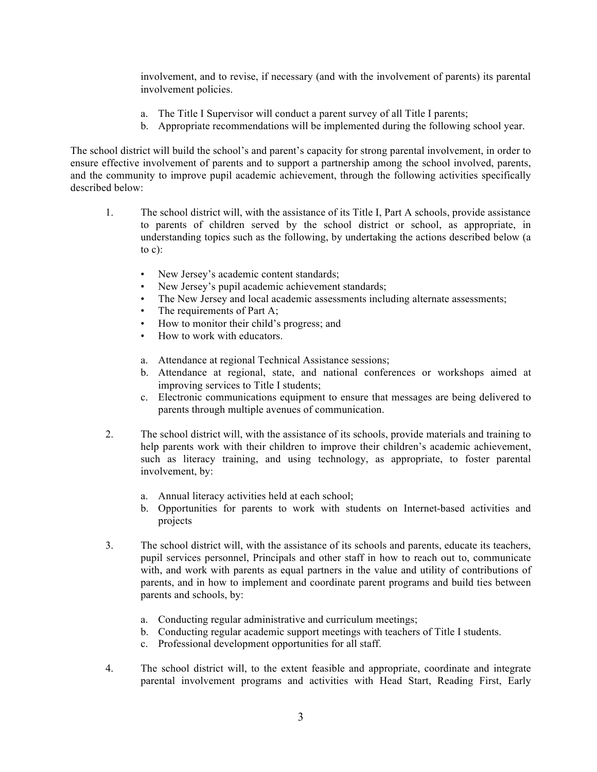involvement, and to revise, if necessary (and with the involvement of parents) its parental involvement policies.

- a. The Title I Supervisor will conduct a parent survey of all Title I parents;
- b. Appropriate recommendations will be implemented during the following school year.

The school district will build the school's and parent's capacity for strong parental involvement, in order to ensure effective involvement of parents and to support a partnership among the school involved, parents, and the community to improve pupil academic achievement, through the following activities specifically described below:

- 1. The school district will, with the assistance of its Title I, Part A schools, provide assistance to parents of children served by the school district or school, as appropriate, in understanding topics such as the following, by undertaking the actions described below (a to  $c$ ):
	- New Jersey's academic content standards;
	- New Jersey's pupil academic achievement standards;
	- The New Jersey and local academic assessments including alternate assessments;
	- The requirements of Part A;
	- How to monitor their child's progress; and
	- How to work with educators.
	- a. Attendance at regional Technical Assistance sessions;
	- b. Attendance at regional, state, and national conferences or workshops aimed at improving services to Title I students;
	- c. Electronic communications equipment to ensure that messages are being delivered to parents through multiple avenues of communication.
- 2. The school district will, with the assistance of its schools, provide materials and training to help parents work with their children to improve their children's academic achievement, such as literacy training, and using technology, as appropriate, to foster parental involvement, by:
	- a. Annual literacy activities held at each school;
	- b. Opportunities for parents to work with students on Internet-based activities and projects
- 3. The school district will, with the assistance of its schools and parents, educate its teachers, pupil services personnel, Principals and other staff in how to reach out to, communicate with, and work with parents as equal partners in the value and utility of contributions of parents, and in how to implement and coordinate parent programs and build ties between parents and schools, by:
	- a. Conducting regular administrative and curriculum meetings;
	- b. Conducting regular academic support meetings with teachers of Title I students.
	- c. Professional development opportunities for all staff.
- 4. The school district will, to the extent feasible and appropriate, coordinate and integrate parental involvement programs and activities with Head Start, Reading First, Early